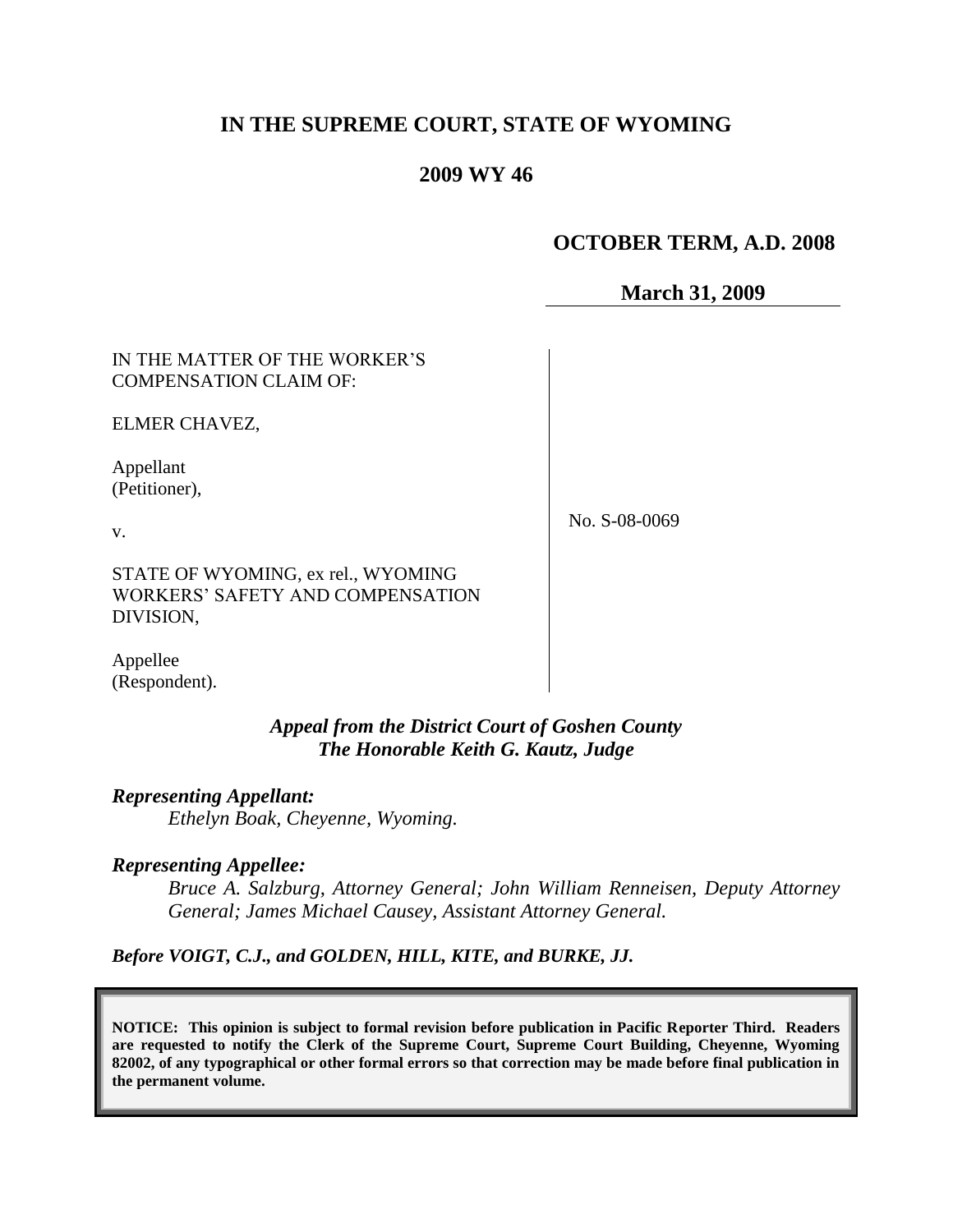# **IN THE SUPREME COURT, STATE OF WYOMING**

# **2009 WY 46**

# **OCTOBER TERM, A.D. 2008**

**March 31, 2009**

IN THE MATTER OF THE WORKER'S COMPENSATION CLAIM OF:

ELMER CHAVEZ,

Appellant (Petitioner),

v.

No. S-08-0069

STATE OF WYOMING, ex rel., WYOMING WORKERS' SAFETY AND COMPENSATION DIVISION,

Appellee (Respondent).

> *Appeal from the District Court of Goshen County The Honorable Keith G. Kautz, Judge*

*Representing Appellant:*

*Ethelyn Boak, Cheyenne, Wyoming.*

#### *Representing Appellee:*

*Bruce A. Salzburg, Attorney General; John William Renneisen, Deputy Attorney General; James Michael Causey, Assistant Attorney General.*

*Before VOIGT, C.J., and GOLDEN, HILL, KITE, and BURKE, JJ.*

**NOTICE: This opinion is subject to formal revision before publication in Pacific Reporter Third. Readers are requested to notify the Clerk of the Supreme Court, Supreme Court Building, Cheyenne, Wyoming 82002, of any typographical or other formal errors so that correction may be made before final publication in the permanent volume.**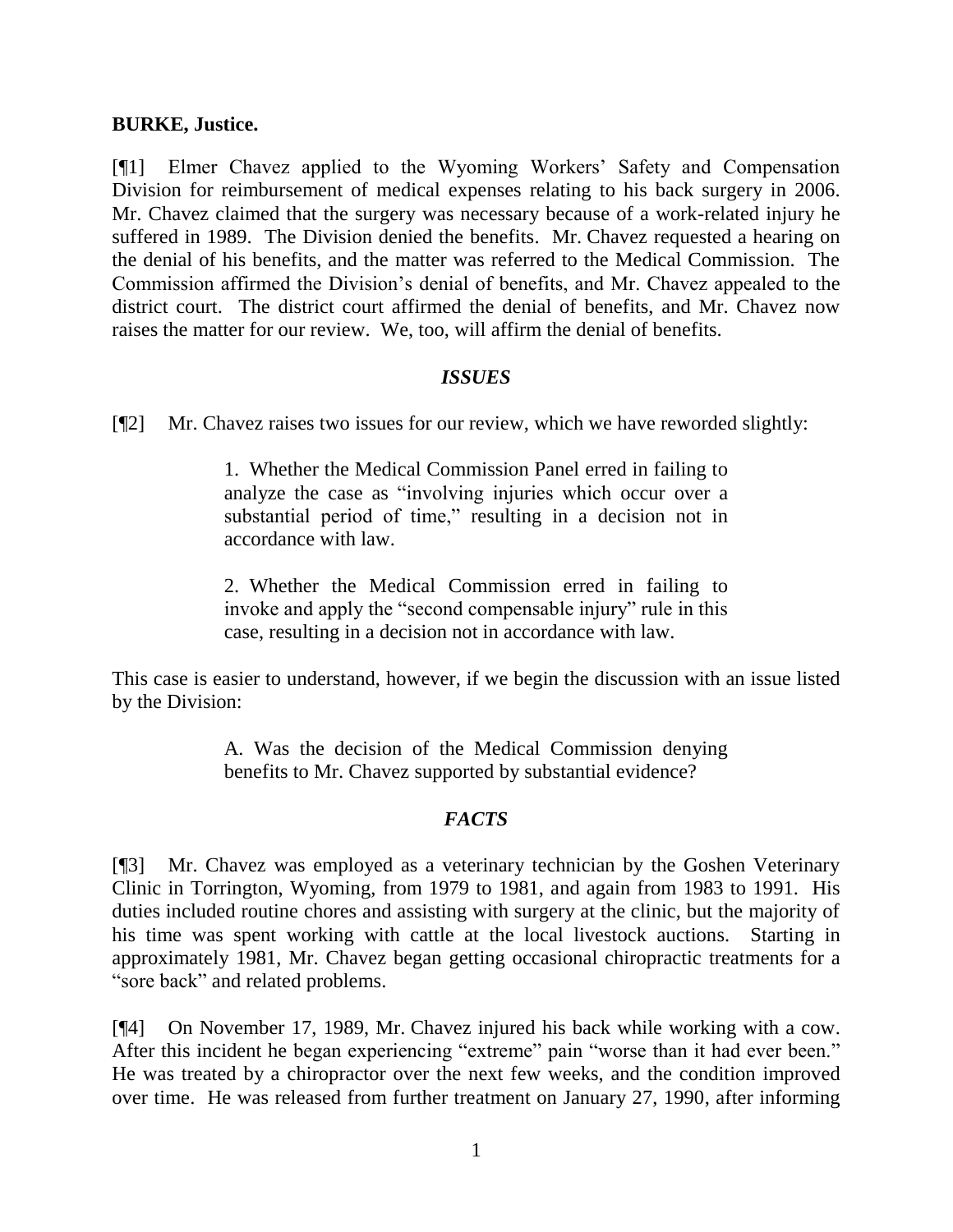#### **BURKE, Justice.**

[¶1] Elmer Chavez applied to the Wyoming Workers' Safety and Compensation Division for reimbursement of medical expenses relating to his back surgery in 2006. Mr. Chavez claimed that the surgery was necessary because of a work-related injury he suffered in 1989. The Division denied the benefits. Mr. Chavez requested a hearing on the denial of his benefits, and the matter was referred to the Medical Commission. The Commission affirmed the Division's denial of benefits, and Mr. Chavez appealed to the district court. The district court affirmed the denial of benefits, and Mr. Chavez now raises the matter for our review. We, too, will affirm the denial of benefits.

### *ISSUES*

[¶2] Mr. Chavez raises two issues for our review, which we have reworded slightly:

1. Whether the Medical Commission Panel erred in failing to analyze the case as "involving injuries which occur over a substantial period of time," resulting in a decision not in accordance with law.

2. Whether the Medical Commission erred in failing to invoke and apply the "second compensable injury" rule in this case, resulting in a decision not in accordance with law.

This case is easier to understand, however, if we begin the discussion with an issue listed by the Division:

> A. Was the decision of the Medical Commission denying benefits to Mr. Chavez supported by substantial evidence?

### *FACTS*

[¶3] Mr. Chavez was employed as a veterinary technician by the Goshen Veterinary Clinic in Torrington, Wyoming, from 1979 to 1981, and again from 1983 to 1991. His duties included routine chores and assisting with surgery at the clinic, but the majority of his time was spent working with cattle at the local livestock auctions. Starting in approximately 1981, Mr. Chavez began getting occasional chiropractic treatments for a "sore back" and related problems.

[¶4] On November 17, 1989, Mr. Chavez injured his back while working with a cow. After this incident he began experiencing "extreme" pain "worse than it had ever been." He was treated by a chiropractor over the next few weeks, and the condition improved over time. He was released from further treatment on January 27, 1990, after informing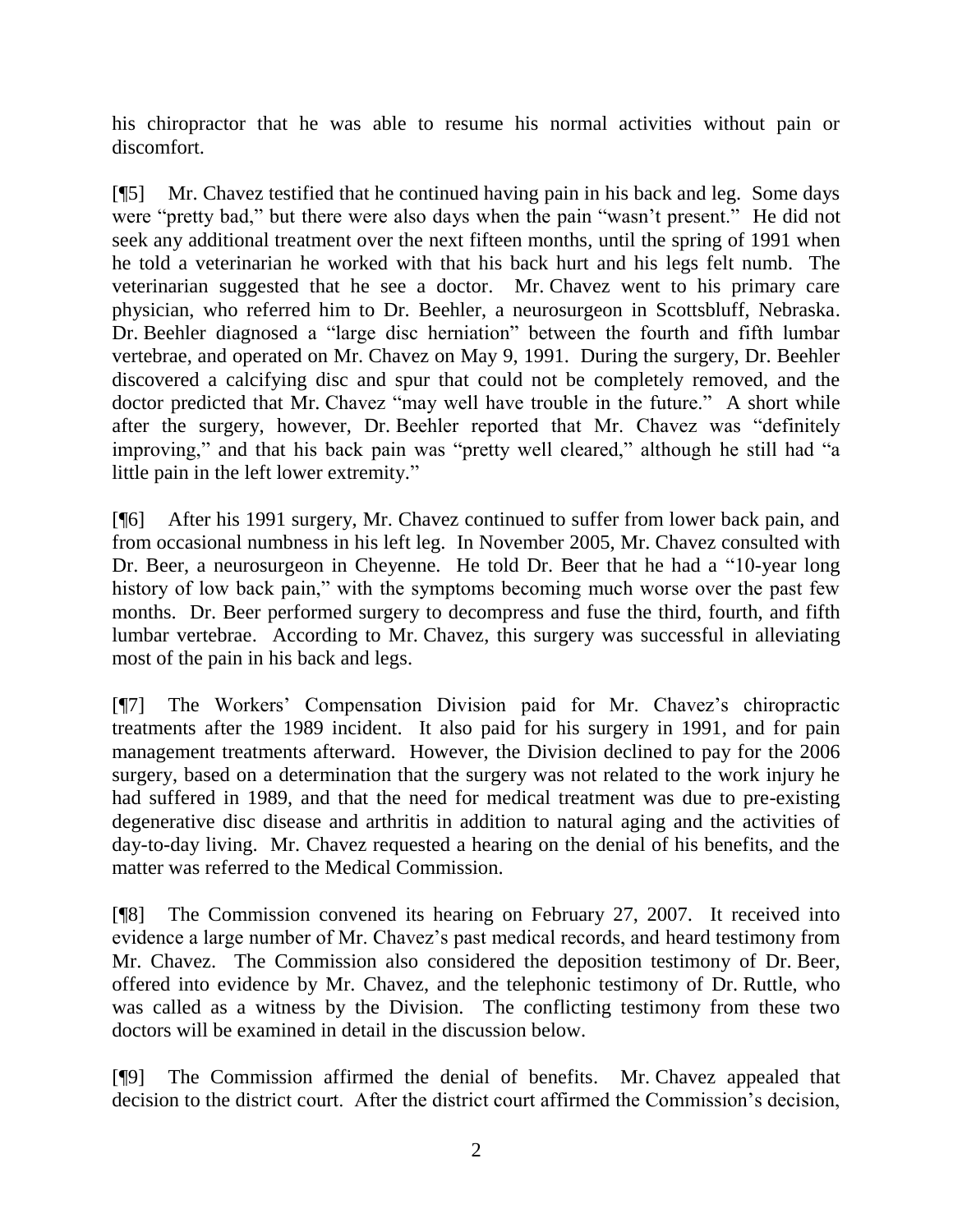his chiropractor that he was able to resume his normal activities without pain or discomfort.

[¶5] Mr. Chavez testified that he continued having pain in his back and leg. Some days were "pretty bad," but there were also days when the pain "wasn't present." He did not seek any additional treatment over the next fifteen months, until the spring of 1991 when he told a veterinarian he worked with that his back hurt and his legs felt numb. The veterinarian suggested that he see a doctor. Mr. Chavez went to his primary care physician, who referred him to Dr. Beehler, a neurosurgeon in Scottsbluff, Nebraska. Dr. Beehler diagnosed a "large disc herniation" between the fourth and fifth lumbar vertebrae, and operated on Mr. Chavez on May 9, 1991. During the surgery, Dr. Beehler discovered a calcifying disc and spur that could not be completely removed, and the doctor predicted that Mr. Chavez "may well have trouble in the future." A short while after the surgery, however, Dr. Beehler reported that Mr. Chavez was "definitely improving," and that his back pain was "pretty well cleared," although he still had "a little pain in the left lower extremity."

[¶6] After his 1991 surgery, Mr. Chavez continued to suffer from lower back pain, and from occasional numbness in his left leg. In November 2005, Mr. Chavez consulted with Dr. Beer, a neurosurgeon in Cheyenne. He told Dr. Beer that he had a "10-year long history of low back pain," with the symptoms becoming much worse over the past few months. Dr. Beer performed surgery to decompress and fuse the third, fourth, and fifth lumbar vertebrae. According to Mr. Chavez, this surgery was successful in alleviating most of the pain in his back and legs.

[¶7] The Workers' Compensation Division paid for Mr. Chavez's chiropractic treatments after the 1989 incident. It also paid for his surgery in 1991, and for pain management treatments afterward. However, the Division declined to pay for the 2006 surgery, based on a determination that the surgery was not related to the work injury he had suffered in 1989, and that the need for medical treatment was due to pre-existing degenerative disc disease and arthritis in addition to natural aging and the activities of day-to-day living. Mr. Chavez requested a hearing on the denial of his benefits, and the matter was referred to the Medical Commission.

[¶8] The Commission convened its hearing on February 27, 2007. It received into evidence a large number of Mr. Chavez's past medical records, and heard testimony from Mr. Chavez. The Commission also considered the deposition testimony of Dr. Beer, offered into evidence by Mr. Chavez, and the telephonic testimony of Dr. Ruttle, who was called as a witness by the Division. The conflicting testimony from these two doctors will be examined in detail in the discussion below.

[¶9] The Commission affirmed the denial of benefits. Mr. Chavez appealed that decision to the district court. After the district court affirmed the Commission's decision,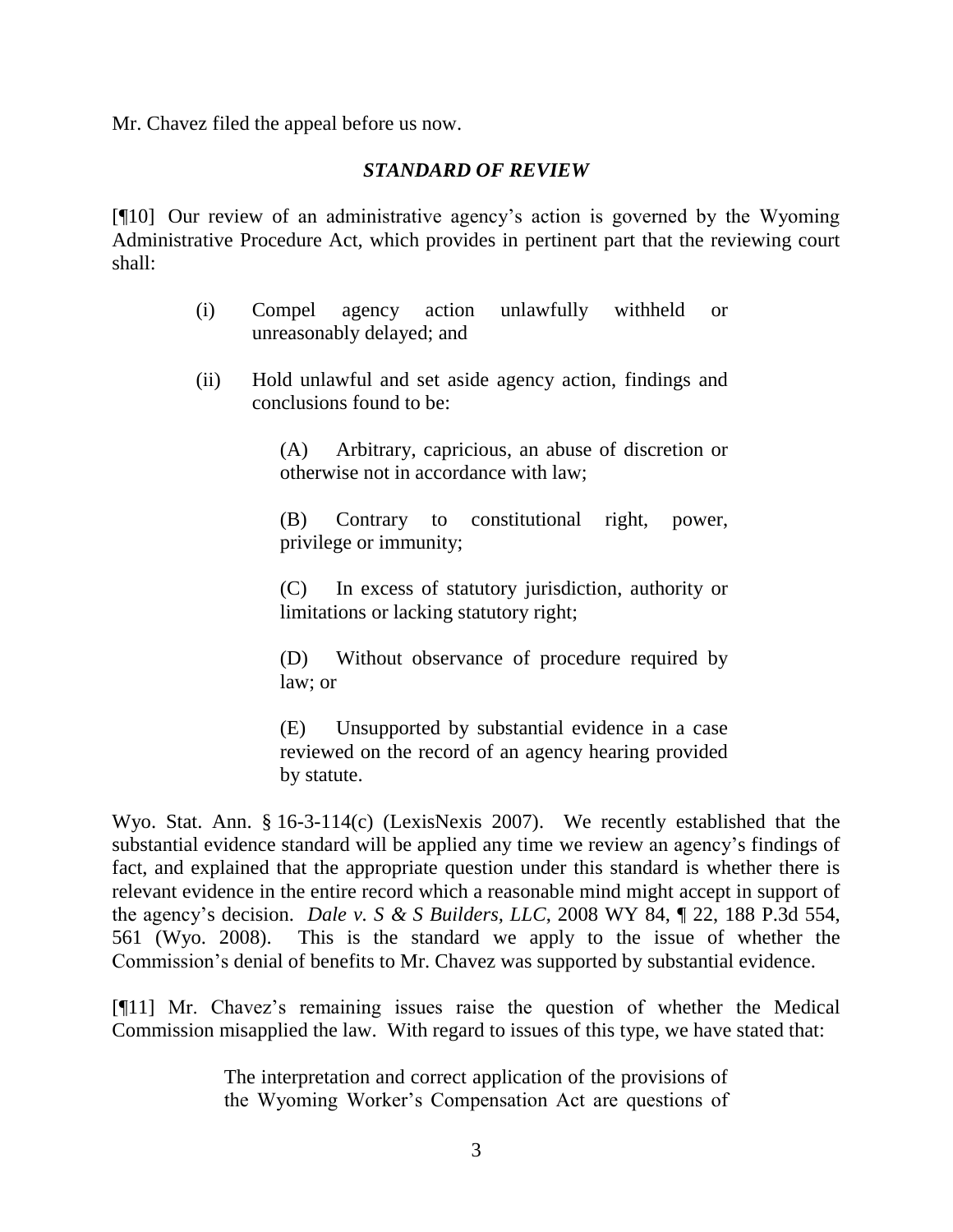Mr. Chavez filed the appeal before us now.

### *STANDARD OF REVIEW*

[¶10] Our review of an administrative agency's action is governed by the Wyoming Administrative Procedure Act, which provides in pertinent part that the reviewing court shall:

- (i) Compel agency action unlawfully withheld or unreasonably delayed; and
- (ii) Hold unlawful and set aside agency action, findings and conclusions found to be:

(A) Arbitrary, capricious, an abuse of discretion or otherwise not in accordance with law;

(B) Contrary to constitutional right, power, privilege or immunity;

(C) In excess of statutory jurisdiction, authority or limitations or lacking statutory right;

(D) Without observance of procedure required by law; or

(E) Unsupported by substantial evidence in a case reviewed on the record of an agency hearing provided by statute.

Wyo. Stat. Ann. § 16-3-114(c) (LexisNexis 2007). We recently established that the substantial evidence standard will be applied any time we review an agency's findings of fact, and explained that the appropriate question under this standard is whether there is relevant evidence in the entire record which a reasonable mind might accept in support of the agency's decision. *Dale v. S & S Builders, LLC*, 2008 WY 84, ¶ 22, 188 P.3d 554, 561 (Wyo. 2008). This is the standard we apply to the issue of whether the Commission's denial of benefits to Mr. Chavez was supported by substantial evidence.

[¶11] Mr. Chavez's remaining issues raise the question of whether the Medical Commission misapplied the law. With regard to issues of this type, we have stated that:

> The interpretation and correct application of the provisions of the Wyoming Worker's Compensation Act are questions of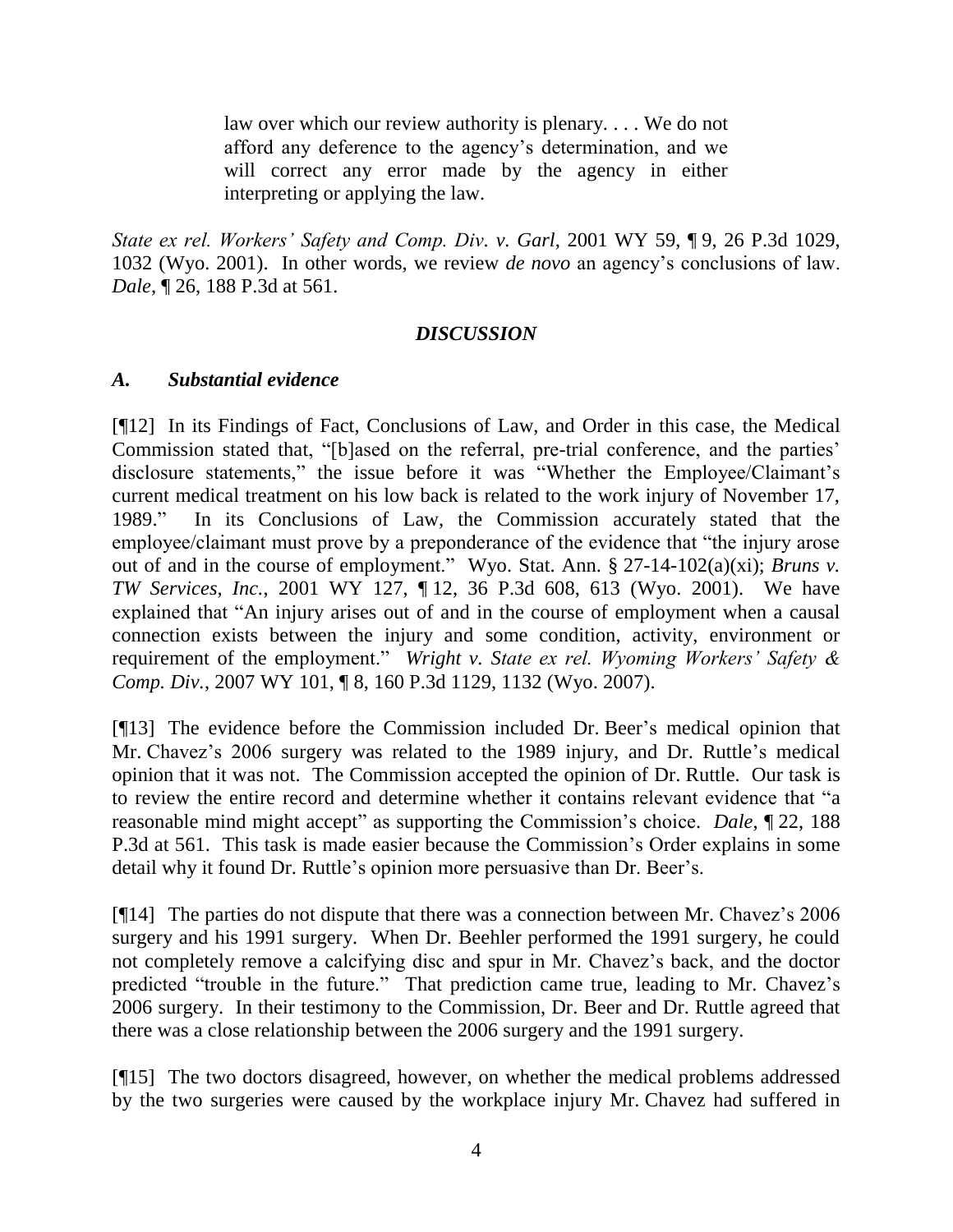law over which our review authority is plenary. . . . We do not afford any deference to the agency's determination, and we will correct any error made by the agency in either interpreting or applying the law.

*State ex rel. Workers' Safety and Comp. Div. v. Garl*, 2001 WY 59, ¶ 9, 26 P.3d 1029, 1032 (Wyo. 2001). In other words, we review *de novo* an agency's conclusions of law. *Dale*, ¶ 26, 188 P.3d at 561.

# *DISCUSSION*

# *A. Substantial evidence*

[¶12] In its Findings of Fact, Conclusions of Law, and Order in this case, the Medical Commission stated that, "[b]ased on the referral, pre-trial conference, and the parties' disclosure statements," the issue before it was "Whether the Employee/Claimant's current medical treatment on his low back is related to the work injury of November 17, 1989." In its Conclusions of Law, the Commission accurately stated that the employee/claimant must prove by a preponderance of the evidence that "the injury arose out of and in the course of employment." Wyo. Stat. Ann. § 27-14-102(a)(xi); *Bruns v. TW Services, Inc.*, 2001 WY 127, ¶ 12, 36 P.3d 608, 613 (Wyo. 2001). We have explained that "An injury arises out of and in the course of employment when a causal connection exists between the injury and some condition, activity, environment or requirement of the employment." *Wright v. State ex rel. Wyoming Workers' Safety & Comp. Div.*, 2007 WY 101, ¶ 8, 160 P.3d 1129, 1132 (Wyo. 2007).

[¶13] The evidence before the Commission included Dr. Beer's medical opinion that Mr. Chavez's 2006 surgery was related to the 1989 injury, and Dr. Ruttle's medical opinion that it was not. The Commission accepted the opinion of Dr. Ruttle. Our task is to review the entire record and determine whether it contains relevant evidence that "a reasonable mind might accept" as supporting the Commission's choice. *Dale*, ¶ 22, 188 P.3d at 561. This task is made easier because the Commission's Order explains in some detail why it found Dr. Ruttle's opinion more persuasive than Dr. Beer's.

[¶14] The parties do not dispute that there was a connection between Mr. Chavez's 2006 surgery and his 1991 surgery. When Dr. Beehler performed the 1991 surgery, he could not completely remove a calcifying disc and spur in Mr. Chavez's back, and the doctor predicted "trouble in the future." That prediction came true, leading to Mr. Chavez's 2006 surgery. In their testimony to the Commission, Dr. Beer and Dr. Ruttle agreed that there was a close relationship between the 2006 surgery and the 1991 surgery.

[¶15] The two doctors disagreed, however, on whether the medical problems addressed by the two surgeries were caused by the workplace injury Mr. Chavez had suffered in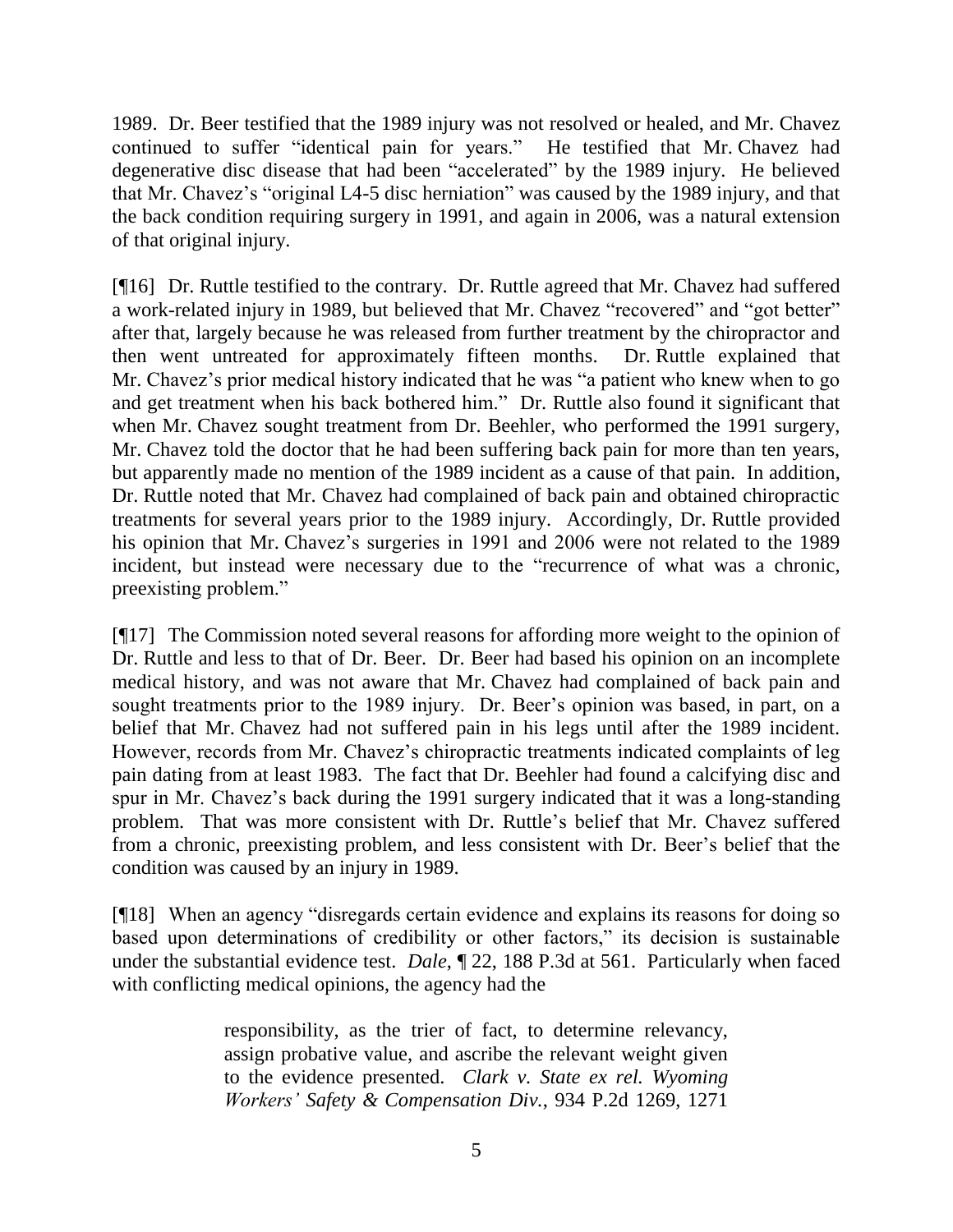1989. Dr. Beer testified that the 1989 injury was not resolved or healed, and Mr. Chavez continued to suffer "identical pain for years." He testified that Mr. Chavez had degenerative disc disease that had been "accelerated" by the 1989 injury. He believed that Mr. Chavez's "original L4-5 disc herniation" was caused by the 1989 injury, and that the back condition requiring surgery in 1991, and again in 2006, was a natural extension of that original injury.

[¶16] Dr. Ruttle testified to the contrary. Dr. Ruttle agreed that Mr. Chavez had suffered a work-related injury in 1989, but believed that Mr. Chavez "recovered" and "got better" after that, largely because he was released from further treatment by the chiropractor and then went untreated for approximately fifteen months. Dr. Ruttle explained that Mr. Chavez's prior medical history indicated that he was "a patient who knew when to go and get treatment when his back bothered him." Dr. Ruttle also found it significant that when Mr. Chavez sought treatment from Dr. Beehler, who performed the 1991 surgery, Mr. Chavez told the doctor that he had been suffering back pain for more than ten years, but apparently made no mention of the 1989 incident as a cause of that pain. In addition, Dr. Ruttle noted that Mr. Chavez had complained of back pain and obtained chiropractic treatments for several years prior to the 1989 injury. Accordingly, Dr. Ruttle provided his opinion that Mr. Chavez's surgeries in 1991 and 2006 were not related to the 1989 incident, but instead were necessary due to the "recurrence of what was a chronic, preexisting problem."

[¶17] The Commission noted several reasons for affording more weight to the opinion of Dr. Ruttle and less to that of Dr. Beer. Dr. Beer had based his opinion on an incomplete medical history, and was not aware that Mr. Chavez had complained of back pain and sought treatments prior to the 1989 injury. Dr. Beer's opinion was based, in part, on a belief that Mr. Chavez had not suffered pain in his legs until after the 1989 incident. However, records from Mr. Chavez's chiropractic treatments indicated complaints of leg pain dating from at least 1983. The fact that Dr. Beehler had found a calcifying disc and spur in Mr. Chavez's back during the 1991 surgery indicated that it was a long-standing problem. That was more consistent with Dr. Ruttle's belief that Mr. Chavez suffered from a chronic, preexisting problem, and less consistent with Dr. Beer's belief that the condition was caused by an injury in 1989.

[¶18] When an agency "disregards certain evidence and explains its reasons for doing so based upon determinations of credibility or other factors," its decision is sustainable under the substantial evidence test. *Dale*, ¶ 22, 188 P.3d at 561. Particularly when faced with conflicting medical opinions, the agency had the

> responsibility, as the trier of fact, to determine relevancy, assign probative value, and ascribe the relevant weight given to the evidence presented. *Clark v. State ex rel. Wyoming Workers' Safety & Compensation Div.*, 934 P.2d 1269, 1271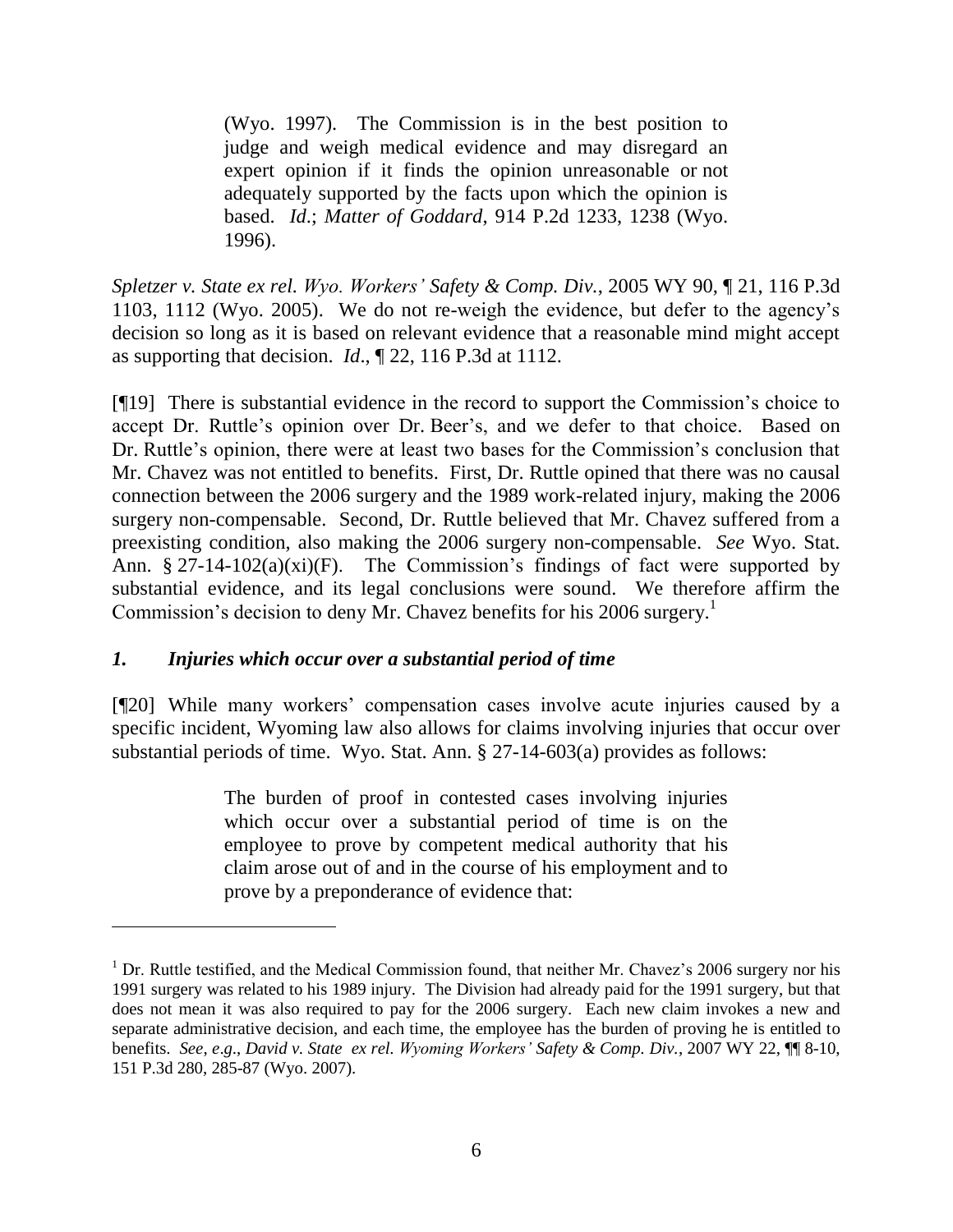(Wyo. 1997). The Commission is in the best position to judge and weigh medical evidence and may disregard an expert opinion if it finds the opinion unreasonable or not adequately supported by the facts upon which the opinion is based. *Id*.; *Matter of Goddard*, 914 P.2d 1233, 1238 (Wyo. 1996).

*Spletzer v. State ex rel. Wyo. Workers' Safety & Comp. Div.*, 2005 WY 90, ¶ 21, 116 P.3d 1103, 1112 (Wyo. 2005). We do not re-weigh the evidence, but defer to the agency's decision so long as it is based on relevant evidence that a reasonable mind might accept as supporting that decision. *Id*., ¶ 22, 116 P.3d at 1112.

[¶19] There is substantial evidence in the record to support the Commission's choice to accept Dr. Ruttle's opinion over Dr. Beer's, and we defer to that choice. Based on Dr. Ruttle's opinion, there were at least two bases for the Commission's conclusion that Mr. Chavez was not entitled to benefits. First, Dr. Ruttle opined that there was no causal connection between the 2006 surgery and the 1989 work-related injury, making the 2006 surgery non-compensable. Second, Dr. Ruttle believed that Mr. Chavez suffered from a preexisting condition, also making the 2006 surgery non-compensable. *See* Wyo. Stat. Ann.  $\S 27-14-102(a)(xi)(F)$ . The Commission's findings of fact were supported by substantial evidence, and its legal conclusions were sound. We therefore affirm the Commission's decision to deny Mr. Chavez benefits for his 2006 surgery.<sup>1</sup>

# *1. Injuries which occur over a substantial period of time*

[¶20] While many workers' compensation cases involve acute injuries caused by a specific incident, Wyoming law also allows for claims involving injuries that occur over substantial periods of time. Wyo. Stat. Ann. § 27-14-603(a) provides as follows:

> The burden of proof in contested cases involving injuries which occur over a substantial period of time is on the employee to prove by competent medical authority that his claim arose out of and in the course of his employment and to prove by a preponderance of evidence that:

<sup>&</sup>lt;sup>1</sup> Dr. Ruttle testified, and the Medical Commission found, that neither Mr. Chavez's 2006 surgery nor his 1991 surgery was related to his 1989 injury. The Division had already paid for the 1991 surgery, but that does not mean it was also required to pay for the 2006 surgery. Each new claim invokes a new and separate administrative decision, and each time, the employee has the burden of proving he is entitled to benefits. *See*, *e*.*g*., *David v. State ex rel. Wyoming Workers' Safety & Comp. Div.*, 2007 WY 22, ¶¶ 8-10, 151 P.3d 280, 285-87 (Wyo. 2007).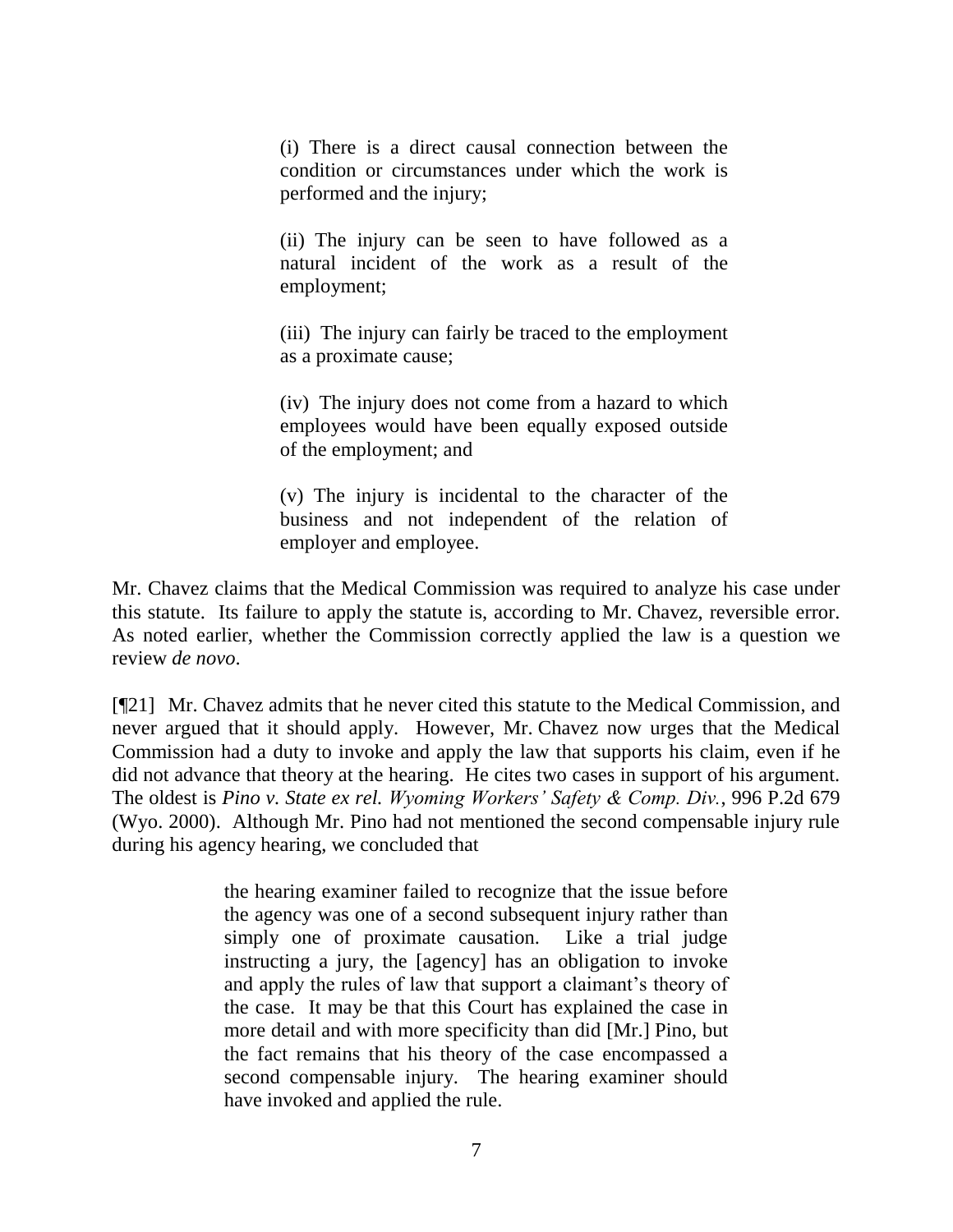(i) There is a direct causal connection between the condition or circumstances under which the work is performed and the injury;

(ii) The injury can be seen to have followed as a natural incident of the work as a result of the employment;

(iii) The injury can fairly be traced to the employment as a proximate cause;

(iv) The injury does not come from a hazard to which employees would have been equally exposed outside of the employment; and

(v) The injury is incidental to the character of the business and not independent of the relation of employer and employee.

Mr. Chavez claims that the Medical Commission was required to analyze his case under this statute. Its failure to apply the statute is, according to Mr. Chavez, reversible error. As noted earlier, whether the Commission correctly applied the law is a question we review *de novo*.

[¶21] Mr. Chavez admits that he never cited this statute to the Medical Commission, and never argued that it should apply. However, Mr. Chavez now urges that the Medical Commission had a duty to invoke and apply the law that supports his claim, even if he did not advance that theory at the hearing. He cites two cases in support of his argument. The oldest is *Pino v. State ex rel. Wyoming Workers' Safety & Comp. Div.*, 996 P.2d 679 (Wyo. 2000). Although Mr. Pino had not mentioned the second compensable injury rule during his agency hearing, we concluded that

> the hearing examiner failed to recognize that the issue before the agency was one of a second subsequent injury rather than simply one of proximate causation. Like a trial judge instructing a jury, the [agency] has an obligation to invoke and apply the rules of law that support a claimant's theory of the case. It may be that this Court has explained the case in more detail and with more specificity than did [Mr.] Pino, but the fact remains that his theory of the case encompassed a second compensable injury. The hearing examiner should have invoked and applied the rule.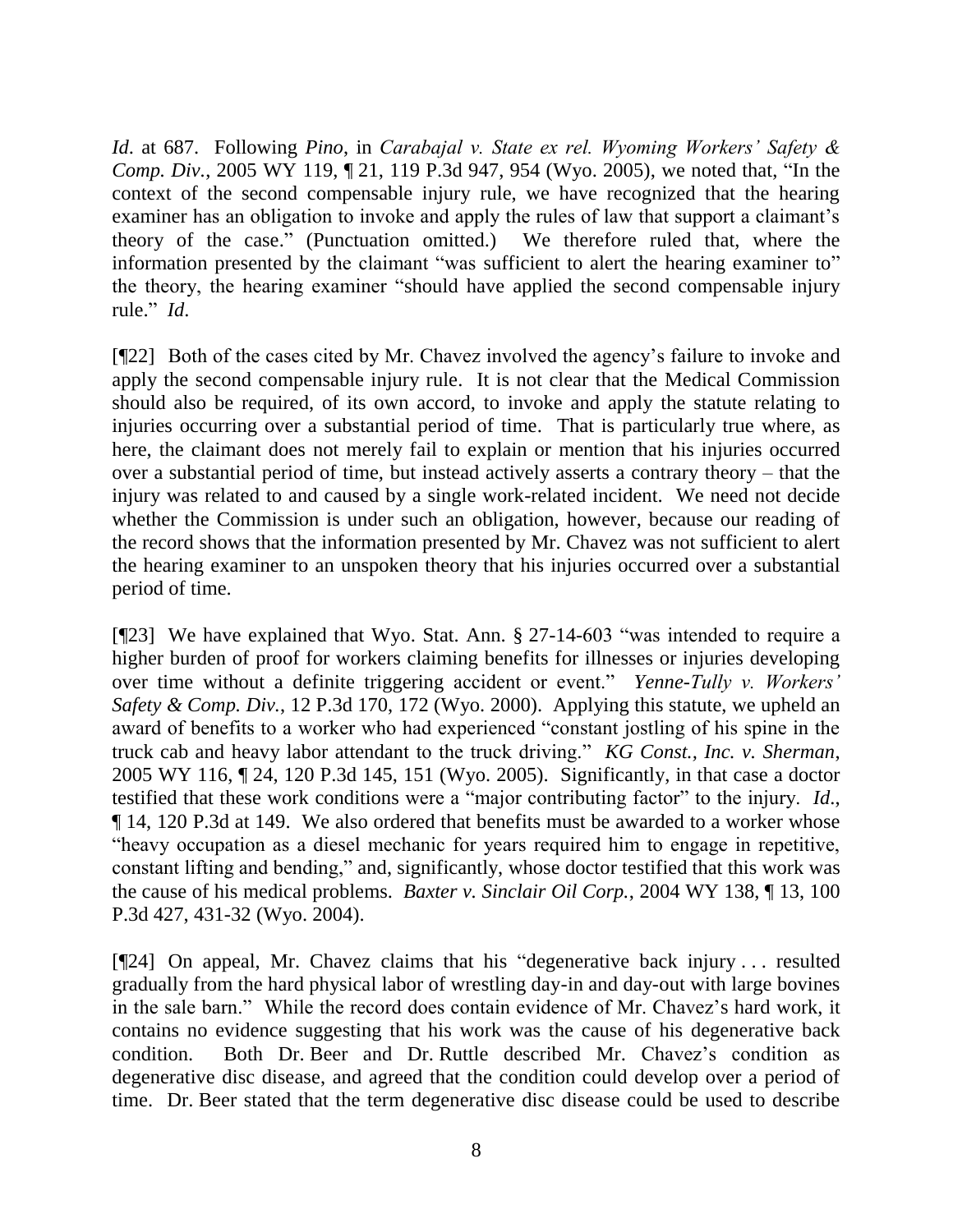*Id*. at 687. Following *Pino*, in *Carabajal v. State ex rel. Wyoming Workers' Safety & Comp. Div.*, 2005 WY 119, ¶ 21, 119 P.3d 947, 954 (Wyo. 2005), we noted that, "In the context of the second compensable injury rule, we have recognized that the hearing examiner has an obligation to invoke and apply the rules of law that support a claimant's theory of the case." (Punctuation omitted.) We therefore ruled that, where the information presented by the claimant "was sufficient to alert the hearing examiner to" the theory, the hearing examiner "should have applied the second compensable injury rule." *Id*.

[¶22] Both of the cases cited by Mr. Chavez involved the agency's failure to invoke and apply the second compensable injury rule. It is not clear that the Medical Commission should also be required, of its own accord, to invoke and apply the statute relating to injuries occurring over a substantial period of time. That is particularly true where, as here, the claimant does not merely fail to explain or mention that his injuries occurred over a substantial period of time, but instead actively asserts a contrary theory – that the injury was related to and caused by a single work-related incident. We need not decide whether the Commission is under such an obligation, however, because our reading of the record shows that the information presented by Mr. Chavez was not sufficient to alert the hearing examiner to an unspoken theory that his injuries occurred over a substantial period of time.

[¶23] We have explained that Wyo. Stat. Ann. § 27-14-603 "was intended to require a higher burden of proof for workers claiming benefits for illnesses or injuries developing over time without a definite triggering accident or event." *Yenne-Tully v. Workers' Safety & Comp. Div.*, 12 P.3d 170, 172 (Wyo. 2000). Applying this statute, we upheld an award of benefits to a worker who had experienced "constant jostling of his spine in the truck cab and heavy labor attendant to the truck driving." *KG Const., Inc. v. Sherman*, 2005 WY 116, ¶ 24, 120 P.3d 145, 151 (Wyo. 2005). Significantly, in that case a doctor testified that these work conditions were a "major contributing factor" to the injury. *Id*., ¶ 14, 120 P.3d at 149. We also ordered that benefits must be awarded to a worker whose "heavy occupation as a diesel mechanic for years required him to engage in repetitive, constant lifting and bending," and, significantly, whose doctor testified that this work was the cause of his medical problems. *Baxter v. Sinclair Oil Corp.*, 2004 WY 138, ¶ 13, 100 P.3d 427, 431-32 (Wyo. 2004).

[¶24] On appeal, Mr. Chavez claims that his "degenerative back injury . . . resulted gradually from the hard physical labor of wrestling day-in and day-out with large bovines in the sale barn." While the record does contain evidence of Mr. Chavez's hard work, it contains no evidence suggesting that his work was the cause of his degenerative back condition. Both Dr. Beer and Dr. Ruttle described Mr. Chavez's condition as degenerative disc disease, and agreed that the condition could develop over a period of time. Dr. Beer stated that the term degenerative disc disease could be used to describe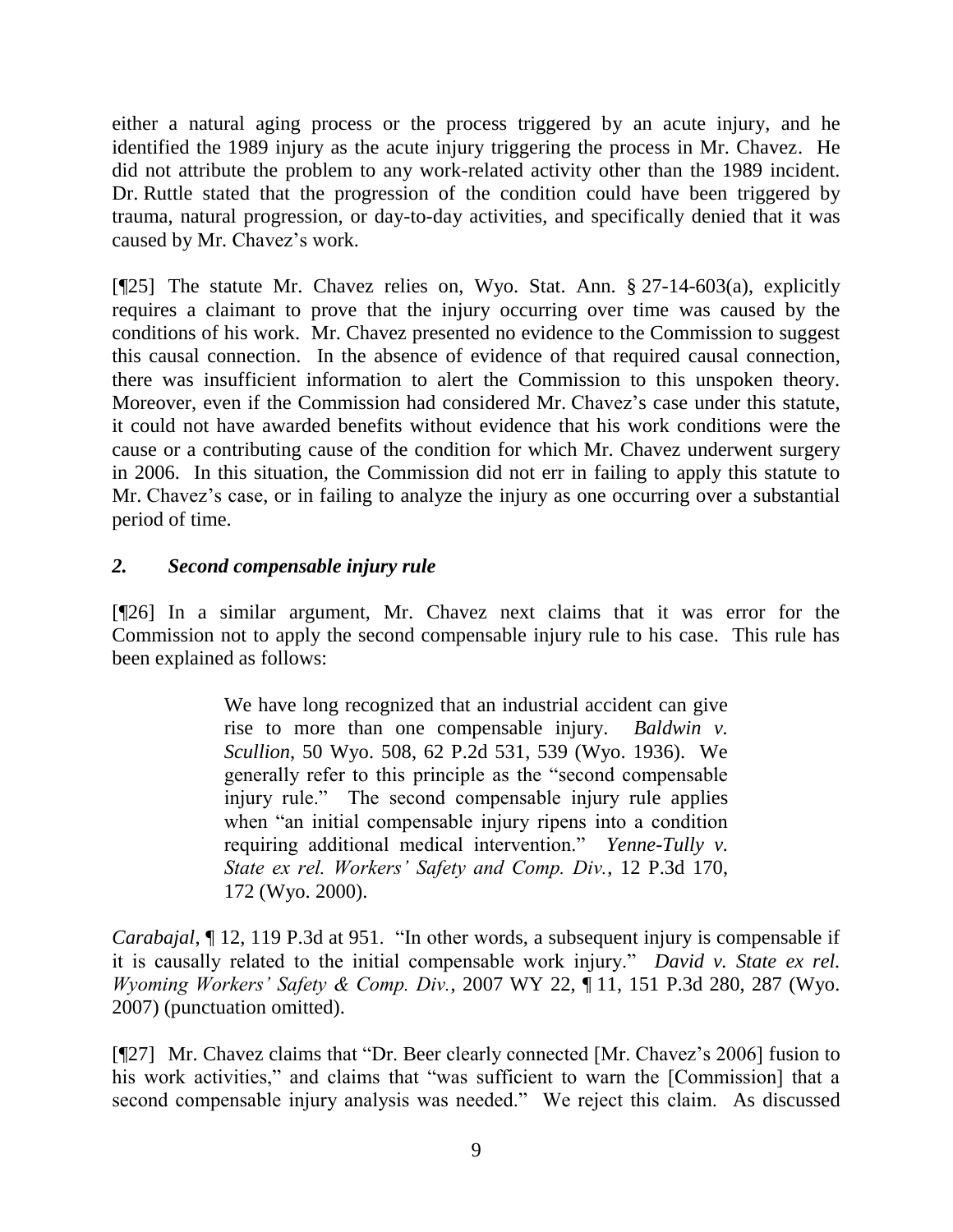either a natural aging process or the process triggered by an acute injury, and he identified the 1989 injury as the acute injury triggering the process in Mr. Chavez. He did not attribute the problem to any work-related activity other than the 1989 incident. Dr. Ruttle stated that the progression of the condition could have been triggered by trauma, natural progression, or day-to-day activities, and specifically denied that it was caused by Mr. Chavez's work.

[¶25] The statute Mr. Chavez relies on, Wyo. Stat. Ann. § 27-14-603(a), explicitly requires a claimant to prove that the injury occurring over time was caused by the conditions of his work. Mr. Chavez presented no evidence to the Commission to suggest this causal connection. In the absence of evidence of that required causal connection, there was insufficient information to alert the Commission to this unspoken theory. Moreover, even if the Commission had considered Mr. Chavez's case under this statute, it could not have awarded benefits without evidence that his work conditions were the cause or a contributing cause of the condition for which Mr. Chavez underwent surgery in 2006. In this situation, the Commission did not err in failing to apply this statute to Mr. Chavez's case, or in failing to analyze the injury as one occurring over a substantial period of time.

# *2. Second compensable injury rule*

[¶26] In a similar argument, Mr. Chavez next claims that it was error for the Commission not to apply the second compensable injury rule to his case. This rule has been explained as follows:

> We have long recognized that an industrial accident can give rise to more than one compensable injury. *Baldwin v. Scullion*, 50 Wyo. 508, 62 P.2d 531, 539 (Wyo. 1936). We generally refer to this principle as the "second compensable injury rule." The second compensable injury rule applies when "an initial compensable injury ripens into a condition requiring additional medical intervention." *Yenne-Tully v. State ex rel. Workers' Safety and Comp. Div.*, 12 P.3d 170, 172 (Wyo. 2000).

*Carabajal*, ¶ 12, 119 P.3d at 951. "In other words, a subsequent injury is compensable if it is causally related to the initial compensable work injury." *David v. State ex rel. Wyoming Workers' Safety & Comp. Div.*, 2007 WY 22, ¶ 11, 151 P.3d 280, 287 (Wyo. 2007) (punctuation omitted).

[¶27] Mr. Chavez claims that "Dr. Beer clearly connected [Mr. Chavez's 2006] fusion to his work activities," and claims that "was sufficient to warn the [Commission] that a second compensable injury analysis was needed." We reject this claim. As discussed